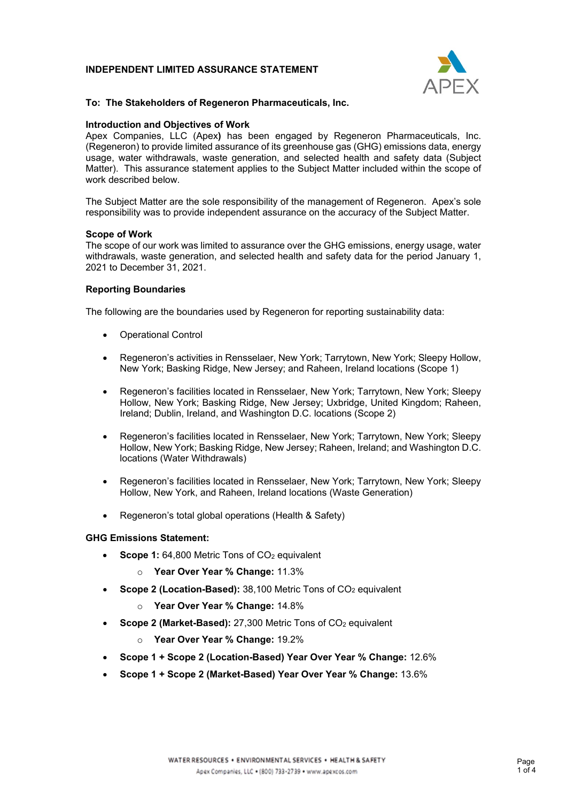# **INDEPENDENT LIMITED ASSURANCE STATEMENT**



## **To: The Stakeholders of Regeneron Pharmaceuticals, Inc.**

## **Introduction and Objectives of Work**

 Matter). This assurance statement applies to the Subject Matter included within the scope of work described below. Apex Companies, LLC (Apex**)** has been engaged by Regeneron Pharmaceuticals, Inc. (Regeneron) to provide limited assurance of its greenhouse gas (GHG) emissions data, energy usage, water withdrawals, waste generation, and selected health and safety data (Subject

work described below.<br>The Subject Matter are the sole responsibility of the management of Regeneron. Apex's sole responsibility was to provide independent assurance on the accuracy of the Subject Matter.

# **Scope of Work**

 The scope of our work was limited to assurance over the GHG emissions, energy usage, water withdrawals, waste generation, and selected health and safety data for the period January 1, 2021 to December 31, 2021.

#### **Reporting Boundaries**

The following are the boundaries used by Regeneron for reporting sustainability data:

- Operational Control
- • Regeneron's activities in Rensselaer, New York; Tarrytown, New York; Sleepy Hollow, New York; Basking Ridge, New Jersey; and Raheen, Ireland locations (Scope 1)
- • Regeneron's facilities located in Rensselaer, New York; Tarrytown, New York; Sleepy Hollow, New York; Basking Ridge, New Jersey; Uxbridge, United Kingdom; Raheen, Ireland; Dublin, Ireland, and Washington D.C. locations (Scope 2)
- • Regeneron's facilities located in Rensselaer, New York; Tarrytown, New York; Sleepy Hollow, New York; Basking Ridge, New Jersey; Raheen, Ireland; and Washington D.C. locations (Water Withdrawals)
- • Regeneron's facilities located in Rensselaer, New York; Tarrytown, New York; Sleepy Hollow, New York, and Raheen, Ireland locations (Waste Generation)
- Regeneron's total global operations (Health & Safety)

#### **GHG Emissions Statement:**

- Scope 1: 64,800 Metric Tons of CO<sub>2</sub> equivalent
	- o **Year Over Year % Change:** 11.3%
- **Scope 2 (Location-Based):** 38,100 Metric Tons of CO<sub>2</sub> equivalent
	- o **Year Over Year % Change:** 14.8%
- **Scope 2 (Market-Based):** 27,300 Metric Tons of CO<sub>2</sub> equivalent
	- o **Year Over Year % Change:** 19.2%
- **Scope 1 + Scope 2 (Location-Based) Year Over Year % Change:** 12.6%
- **Scope 1 + Scope 2 (Market-Based) Year Over Year % Change:** 13.6%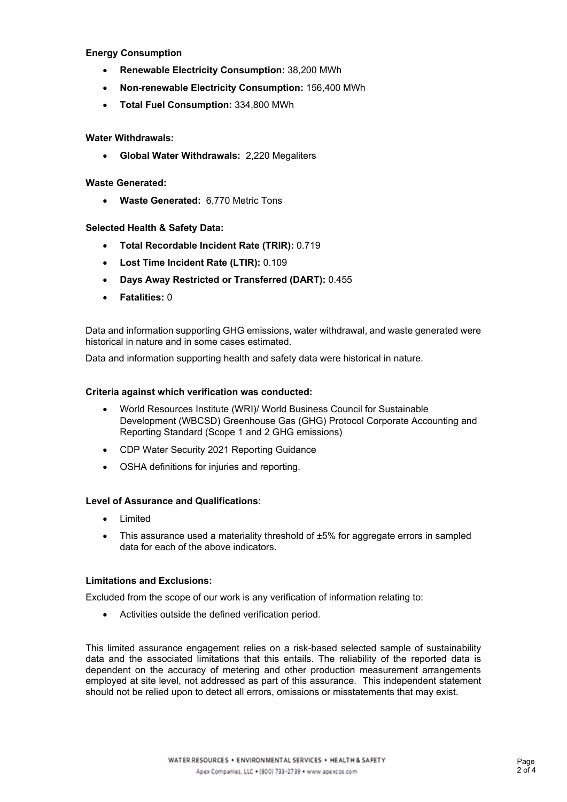# **Energy Consumption**

- **Renewable Electricity Consumption:** 38,200 MWh
- **Non-renewable Electricity Consumption:** 156,400 MWh
- **Total Fuel Consumption:** 334,800 MWh

# **Water Withdrawals:**

• **Global Water Withdrawals:** 2,220 Megaliters

# **Waste Generated:**

• **Waste Generated:** 6,770 Metric Tons

# **Selected Health & Safety Data:**

- **Total Recordable Incident Rate (TRIR):** 0.719
- **Lost Time Incident Rate (LTIR):** 0.109
- **Days Away Restricted or Transferred (DART):** 0.455
- **Fatalities:** 0

 Data and information supporting GHG emissions, water withdrawal, and waste generated were historical in nature and in some cases estimated.

Data and information supporting health and safety data were historical in nature.

# **Criteria against which verification was conducted:**

- • World Resources Institute (WRI)/ World Business Council for Sustainable Development (WBCSD) Greenhouse Gas (GHG) Protocol Corporate Accounting and Reporting Standard (Scope 1 and 2 GHG emissions)
- CDP Water Security 2021 Reporting Guidance
- OSHA definitions for injuries and reporting.

## **Level of Assurance and Qualifications**:

- Limited
- This assurance used a materiality threshold of ±5% for aggregate errors in sampled data for each of the above indicators.

## **Limitations and Exclusions:**

Excluded from the scope of our work is any verification of information relating to:

• Activities outside the defined verification period.

 employed at site level, not addressed as part of this assurance. This independent statement should not be relied upon to detect all errors, omissions or misstatements that may exist. This limited assurance engagement relies on a risk-based selected sample of sustainability data and the associated limitations that this entails. The reliability of the reported data is dependent on the accuracy of metering and other production measurement arrangements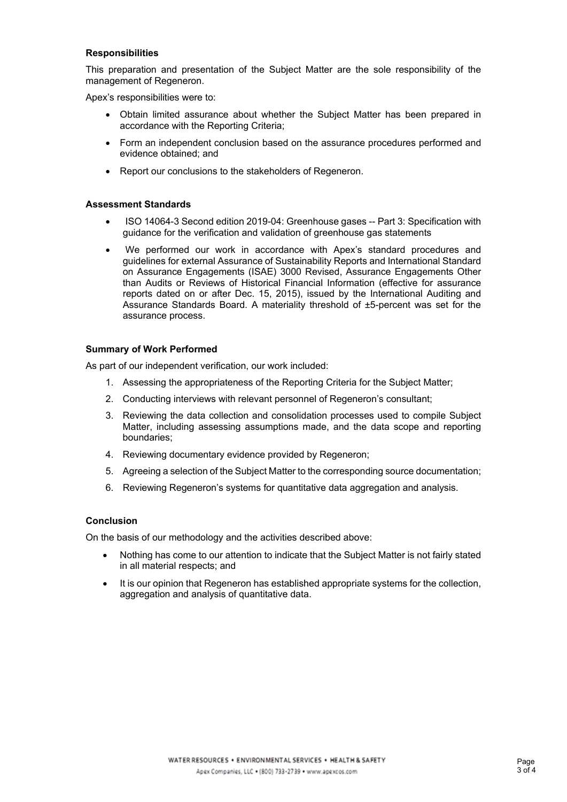#### **Responsibilities**

management of Regeneron. This preparation and presentation of the Subject Matter are the sole responsibility of the

management of Regeneron.<br>Apex's responsibilities were to:

- • Obtain limited assurance about whether the Subject Matter has been prepared in accordance with the Reporting Criteria;
- • Form an independent conclusion based on the assurance procedures performed and evidence obtained; and
- Report our conclusions to the stakeholders of Regeneron.

### **Assessment Standards**

- ISO 14064-3 Second edition 2019-04: Greenhouse gases -- Part 3: Specification with guidance for the verification and validation of greenhouse gas statements
- guidelines for external Assurance of Sustainability Reports and International Standard • We performed our work in accordance with Apex's standard procedures and on Assurance Engagements (ISAE) 3000 Revised, Assurance Engagements Other than Audits or Reviews of Historical Financial Information (effective for assurance reports dated on or after Dec. 15, 2015), issued by the International Auditing and Assurance Standards Board. A materiality threshold of ±5-percent was set for the assurance process.

# **Summary of Work Performed**

As part of our independent verification, our work included:

- 1. Assessing the appropriateness of the Reporting Criteria for the Subject Matter;
- 2. Conducting interviews with relevant personnel of Regeneron's consultant;
- 3. Reviewing the data collection and consolidation processes used to compile Subject Matter, including assessing assumptions made, and the data scope and reporting boundaries;
- 4. Reviewing documentary evidence provided by Regeneron;
- 5. Agreeing a selection of the Subject Matter to the corresponding source documentation;
- 6. Reviewing Regeneron's systems for quantitative data aggregation and analysis.

# **Conclusion**

On the basis of our methodology and the activities described above:

- • Nothing has come to our attention to indicate that the Subject Matter is not fairly stated in all material respects; and
- • It is our opinion that Regeneron has established appropriate systems for the collection, aggregation and analysis of quantitative data.